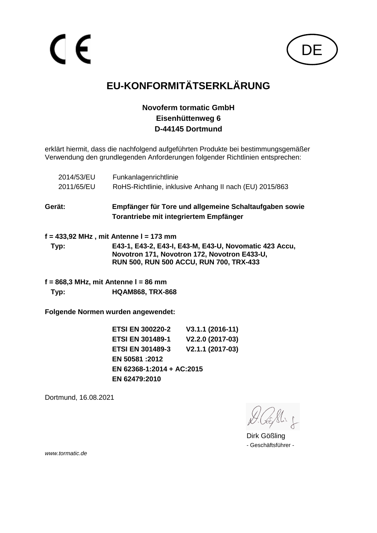

# **EU-KONFORMITÄTSERKLÄRUNG**

#### **Novoferm tormatic GmbH Eisenhüttenweg 6 D-44145 Dortmund**

erklärt hiermit, dass die nachfolgend aufgeführten Produkte bei bestimmungsgemäßer Verwendung den grundlegenden Anforderungen folgender Richtlinien entsprechen:

| RoHS-Richtlinie, inklusive Anhang II nach (EU) 2015/863                                                                                           |
|---------------------------------------------------------------------------------------------------------------------------------------------------|
|                                                                                                                                                   |
| Empfänger für Tore und allgemeine Schaltaufgaben sowie<br>Torantriebe mit integriertem Empfänger                                                  |
| f = 433,92 MHz , mit Antenne I = 173 mm                                                                                                           |
| E43-1, E43-2, E43-I, E43-M, E43-U, Novomatic 423 Accu,<br>Novotron 171, Novotron 172, Novotron E433-U,<br>RUN 500, RUN 500 ACCU, RUN 700, TRX-433 |
|                                                                                                                                                   |

**f = 868,3 MHz, mit Antenne l = 86 mm Typ: HQAM868, TRX-868**

**Folgende Normen wurden angewendet:**

| <b>ETSI EN 300220-2</b>   | V3.1.1 (2016-11) |
|---------------------------|------------------|
| <b>ETSI EN 301489-1</b>   | V2.2.0 (2017-03) |
| <b>ETSI EN 301489-3</b>   | V2.1.1 (2017-03) |
| EN 50581:2012             |                  |
| EN 62368-1:2014 + AC:2015 |                  |
| EN 62479:2010             |                  |
|                           |                  |

Dortmund, 16.08.2021

Dirk Gößling - Geschäftsführer -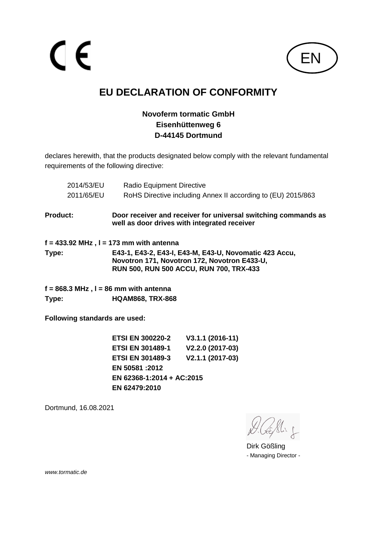$\epsilon$ 



## **EU DECLARATION OF CONFORMITY**

#### **Novoferm tormatic GmbH Eisenhüttenweg 6 D-44145 Dortmund**

declares herewith, that the products designated below comply with the relevant fundamental requirements of the following directive:

|                 | 2014/53/EU                    | <b>Radio Equipment Directive</b>           |                                                                                                                                                          |
|-----------------|-------------------------------|--------------------------------------------|----------------------------------------------------------------------------------------------------------------------------------------------------------|
|                 | 2011/65/EU                    |                                            | RoHS Directive including Annex II according to (EU) 2015/863                                                                                             |
| <b>Product:</b> |                               |                                            | Door receiver and receiver for universal switching commands as<br>well as door drives with integrated receiver                                           |
|                 |                               | $f = 433.92$ MHz , I = 173 mm with antenna |                                                                                                                                                          |
| Type:           |                               |                                            | E43-1, E43-2, E43-I, E43-M, E43-U, Novomatic 423 Accu,<br>Novotron 171, Novotron 172, Novotron E433-U,<br><b>RUN 500, RUN 500 ACCU, RUN 700, TRX-433</b> |
|                 |                               | $f = 868.3$ MHz , I = 86 mm with antenna   |                                                                                                                                                          |
| Type:           |                               | <b>HQAM868, TRX-868</b>                    |                                                                                                                                                          |
|                 | Following standards are used: |                                            |                                                                                                                                                          |
|                 |                               | <b>ETSI EN 300220-2</b>                    | $V3.1.1 (2016-11)$                                                                                                                                       |
|                 |                               | <b>ETSI EN 301489-1</b>                    | V2.2.0 (2017-03)                                                                                                                                         |
|                 |                               | ETSI EN 301489-3                           | V2.1.1 (2017-03)                                                                                                                                         |

**ETSI EN 301489-3 V2.1.1 (2017-03) EN 50581 :2012 EN 62368-1:2014 + AC:2015 EN 62479:2010**

Dortmund, 16.08.2021

Dirk Gößling - Managing Director -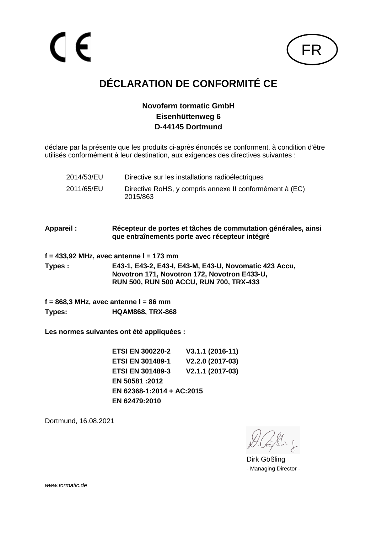

# **DÉCLARATION DE CONFORMITÉ CE**

#### **Novoferm tormatic GmbH Eisenhüttenweg 6 D-44145 Dortmund**

déclare par la présente que les produits ci-après énoncés se conforment, à condition d'être utilisés conformément à leur destination, aux exigences des directives suivantes :

| 2014/53/EU | Directive sur les installations radioélectriques                    |
|------------|---------------------------------------------------------------------|
| 2011/65/EU | Directive RoHS, y compris annexe II conformément à (EC)<br>2015/863 |

**Appareil : Récepteur de portes et tâches de commutation générales, ainsi que entraînements porte avec récepteur intégré**

**f = 433,92 MHz, avec antenne l = 173 mm**

**Types : E43-1, E43-2, E43-I, E43-M, E43-U, Novomatic 423 Accu, Novotron 171, Novotron 172, Novotron E433-U, RUN 500, RUN 500 ACCU, RUN 700, TRX-433**

**f = 868,3 MHz, avec antenne l = 86 mm Types: HQAM868, TRX-868**

**Les normes suivantes ont été appliquées :**

**ETSI EN 300220-2 V3.1.1 (2016-11) ETSI EN 301489-1 V2.2.0 (2017-03) ETSI EN 301489-3 V2.1.1 (2017-03) EN 50581 :2012 EN 62368-1:2014 + AC:2015 EN 62479:2010**

Dortmund, 16.08.2021

Dirk Gößling - Managing Director -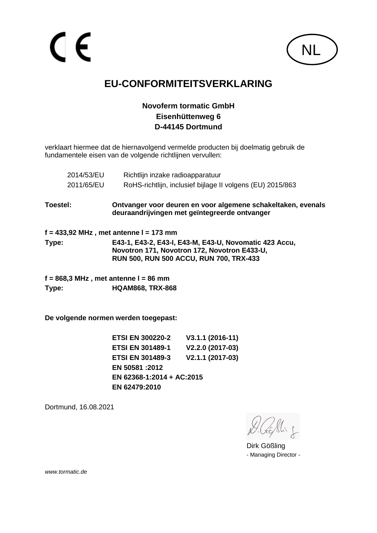

### **EU-CONFORMITEITSVERKLARING**

#### **Novoferm tormatic GmbH Eisenhüttenweg 6 D-44145 Dortmund**

verklaart hiermee dat de hiernavolgend vermelde producten bij doelmatig gebruik de fundamentele eisen van de volgende richtlijnen vervullen:

|          | 2014/53/EU | Richtlijn inzake radioapparatuur                                                                              |
|----------|------------|---------------------------------------------------------------------------------------------------------------|
|          | 2011/65/EU | RoHS-richtlijn, inclusief bijlage II volgens (EU) 2015/863                                                    |
| Toestel: |            | Ontvanger voor deuren en voor algemene schakeltaken, evenals<br>deuraandrijvingen met geïntegreerde ontvanger |
|          |            | $f = 433,92$ MHz, met antenne I = 173 mm                                                                      |
|          |            |                                                                                                               |
| Type:    |            | E43-1, E43-2, E43-I, E43-M, E43-U, Novomatic 423 Accu,                                                        |
|          |            | Novotron 171, Novotron 172, Novotron E433-U,                                                                  |

**f = 868,3 MHz , met antenne l = 86 mm Type: HQAM868, TRX-868**

**De volgende normen werden toegepast:**

**ETSI EN 300220-2 V3.1.1 (2016-11) ETSI EN 301489-1 V2.2.0 (2017-03) ETSI EN 301489-3 V2.1.1 (2017-03) EN 50581 :2012 EN 62368-1:2014 + AC:2015 EN 62479:2010**

Dortmund, 16.08.2021

Dirk Gößling - Managing Director -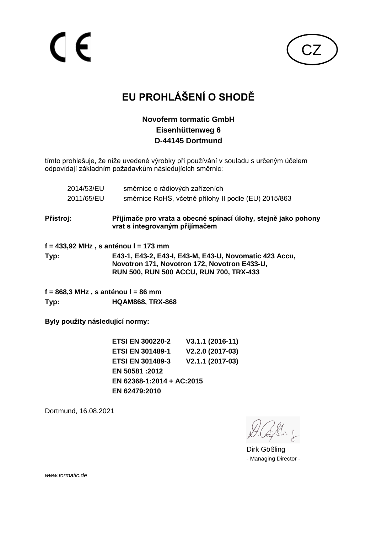CZ

# **EU PROHLÁŠENÍ O SHODĚ**

#### **Novoferm tormatic GmbH Eisenhüttenweg 6 D-44145 Dortmund**

tímto prohlašuje, že níže uvedené výrobky při používání v souladu s určeným účelem odpovídají základním požadavkům následujících směrnic:

|           | 2014/53/EU<br>2011/65/EU        | směrnice o rádiových zařízeních<br>směrnice RoHS, včetně přílohy II podle (EU) 2015/863                                                                  |
|-----------|---------------------------------|----------------------------------------------------------------------------------------------------------------------------------------------------------|
| Přístroj: |                                 | Přijímače pro vrata a obecné spínací úlohy, stejně jako pohony<br>vrat s integrovaným přijímačem                                                         |
|           |                                 | f = 433,92 MHz , s anténou l = 173 mm                                                                                                                    |
| Typ:      |                                 | E43-1, E43-2, E43-I, E43-M, E43-U, Novomatic 423 Accu,<br>Novotron 171, Novotron 172, Novotron E433-U,<br><b>RUN 500, RUN 500 ACCU, RUN 700, TRX-433</b> |
|           |                                 | f = 868,3 MHz , s anténou l = 86 mm                                                                                                                      |
| Typ:      |                                 | <b>HQAM868, TRX-868</b>                                                                                                                                  |
|           | Byly použity následující normy: |                                                                                                                                                          |

**ETSI EN 300220-2 V3.1.1 (2016-11) ETSI EN 301489-1 V2.2.0 (2017-03) ETSI EN 301489-3 V2.1.1 (2017-03) EN 50581 :2012 EN 62368-1:2014 + AC:2015 EN 62479:2010**

Dortmund, 16.08.2021

Dirk Gößling - Managing Director -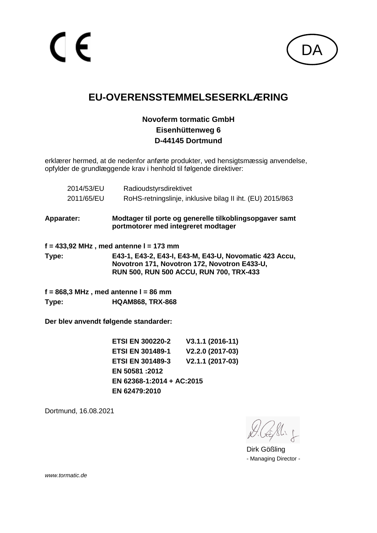

## **EU-OVERENSSTEMMELSESERKLÆRING**

#### **Novoferm tormatic GmbH Eisenhüttenweg 6 D-44145 Dortmund**

erklærer hermed, at de nedenfor anførte produkter, ved hensigtsmæssig anvendelse, opfylder de grundlæggende krav i henhold til følgende direktiver:

|                                       | 2014/53/EU<br>2011/65/EU                | Radioudstyrsdirektivet<br>RoHS-retningslinje, inklusive bilag II iht. (EU) 2015/863                                                               |  |  |
|---------------------------------------|-----------------------------------------|---------------------------------------------------------------------------------------------------------------------------------------------------|--|--|
| Apparater:                            |                                         | Modtager til porte og generelle tilkoblingsopgaver samt<br>portmotorer med integreret modtager                                                    |  |  |
|                                       | f = 433,92 MHz , med antenne l = 173 mm |                                                                                                                                                   |  |  |
| Type:                                 |                                         | E43-1, E43-2, E43-I, E43-M, E43-U, Novomatic 423 Accu,<br>Novotron 171, Novotron 172, Novotron E433-U,<br>RUN 500, RUN 500 ACCU, RUN 700, TRX-433 |  |  |
|                                       |                                         | $f = 868.3$ MHz, med antenne I = 86 mm                                                                                                            |  |  |
| Type:                                 |                                         | <b>HQAM868, TRX-868</b>                                                                                                                           |  |  |
| Der blev anvendt følgende standarder: |                                         |                                                                                                                                                   |  |  |

**ETSI EN 300220-2 V3.1.1 (2016-11) ETSI EN 301489-1 V2.2.0 (2017-03) ETSI EN 301489-3 V2.1.1 (2017-03) EN 50581 :2012 EN 62368-1:2014 + AC:2015 EN 62479:2010**

Dortmund, 16.08.2021

Dirk Gößling - Managing Director -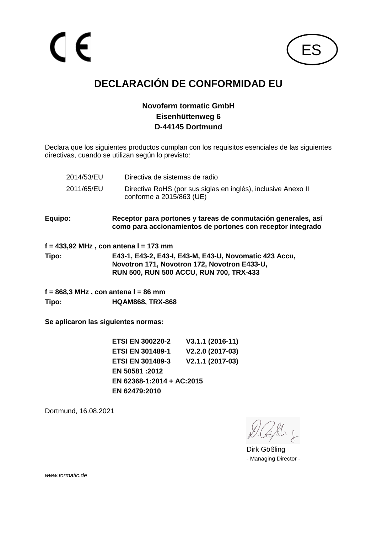

# **DECLARACIÓN DE CONFORMIDAD EU**

#### **Novoferm tormatic GmbH Eisenhüttenweg 6 D-44145 Dortmund**

Declara que los siguientes productos cumplan con los requisitos esenciales de las siguientes directivas, cuando se utilizan según lo previsto:

| 2014/53/EU                             | Directiva de sistemas de radio                                                                                               |  |
|----------------------------------------|------------------------------------------------------------------------------------------------------------------------------|--|
| 2011/65/EU                             | Directiva RoHS (por sus siglas en inglés), inclusive Anexo II<br>conforme a 2015/863 (UE)                                    |  |
| Equipo:                                | Receptor para portones y tareas de conmutación generales, así<br>como para accionamientos de portones con receptor integrado |  |
| f = 433,92 MHz , con antena l = 173 mm |                                                                                                                              |  |

**Tipo: E43-1, E43-2, E43-I, E43-M, E43-U, Novomatic 423 Accu, Novotron 171, Novotron 172, Novotron E433-U, RUN 500, RUN 500 ACCU, RUN 700, TRX-433**

**f = 868,3 MHz , con antena l = 86 mm Tipo: HQAM868, TRX-868**

**Se aplicaron las siguientes normas:**

**ETSI EN 300220-2 V3.1.1 (2016-11) ETSI EN 301489-1 V2.2.0 (2017-03) ETSI EN 301489-3 V2.1.1 (2017-03) EN 50581 :2012 EN 62368-1:2014 + AC:2015 EN 62479:2010**

Dortmund, 16.08.2021

Dirk Gößling - Managing Director -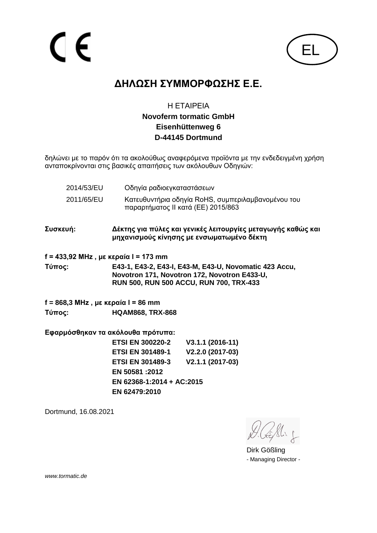

### **ΔΗΛΩΣΗ ΣΥΜΜΟΡΦΩΣΗΣ Ε.Ε.**

#### Η ΕΤΑΙΡΕΙΑ **Novoferm tormatic GmbH Eisenhüttenweg 6 D-44145 Dortmund**

δηλώνει με το παρόν ότι τα ακολούθως αναφερόμενα προϊόντα με την ενδεδειγμένη χρήση ανταποκρίνονται στις βασικές απαιτήσεις των ακόλουθων Οδηγιών:

- 2014/53/EU Οδηγία ραδιοεγκαταστάσεων
- 2011/65/EU Κατευθυντήρια οδηγία RoHS, συμπεριλαμβανομένου του παραρτήματος II κατά (ΕΕ) 2015/863
- **Συσκευή: Δέκτης για πύλες και γενικές λειτουργίες μεταγωγής καθώς και μηχανισμούς κίνησης με ενσωματωμένο δέκτη**
- **f = 433,92 MHz , με κεραία l = 173 mm**

**Τύπος: E43-1, E43-2, E43-I, E43-M, E43-U, Novomatic 423 Accu, Novotron 171, Novotron 172, Novotron E433-U, RUN 500, RUN 500 ACCU, RUN 700, TRX-433**

**f = 868,3 MHz , με κεραία l = 86 mm Τύπος: HQAM868, TRX-868**

**Εφαρμόσθηκαν τα ακόλουθα πρότυπα:**

**ETSI EN 300220-2 V3.1.1 (2016-11) ETSI EN 301489-1 V2.2.0 (2017-03) ETSI EN 301489-3 V2.1.1 (2017-03) EN 50581 :2012 EN 62368-1:2014 + AC:2015 EN 62479:2010**

Dortmund, 16.08.2021

Dirk Gößling - Managing Director -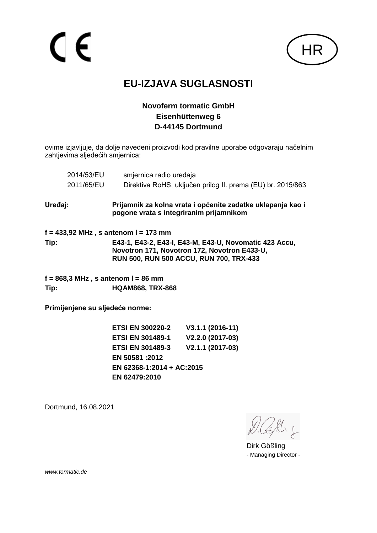

### **EU-IZJAVA SUGLASNOSTI**

#### **Novoferm tormatic GmbH Eisenhüttenweg 6 D-44145 Dortmund**

ovime izjavljuje, da dolje navedeni proizvodi kod pravilne uporabe odgovaraju načelnim zahtjevima sljedećih smjernica:

| 2014/53/EU                                    | smjernica radio uređaja                                                                                                                           |
|-----------------------------------------------|---------------------------------------------------------------------------------------------------------------------------------------------------|
| 2011/65/EU                                    | Direktiva RoHS, uključen prilog II. prema (EU) br. 2015/863                                                                                       |
| Uređaj:                                       | Prijamnik za kolna vrata i općenite zadatke uklapanja kao i<br>pogone vrata s integriranim prijamnikom                                            |
|                                               | $f = 433,92$ MHz, s antenom I = 173 mm                                                                                                            |
| Tip:                                          | E43-1, E43-2, E43-I, E43-M, E43-U, Novomatic 423 Accu,<br>Novotron 171, Novotron 172, Novotron E433-U,<br>RUN 500, RUN 500 ACCU, RUN 700, TRX-433 |
| $f = 868,3 \text{ MHz}$ , s antenom I = 86 mm |                                                                                                                                                   |
| Tip:                                          | <b>HQAM868, TRX-868</b>                                                                                                                           |
| Primijenjene su sljedeće norme:               |                                                                                                                                                   |
|                                               |                                                                                                                                                   |

**ETSI EN 300220-2 V3.1.1 (2016-11) ETSI EN 301489-1 V2.2.0 (2017-03) ETSI EN 301489-3 V2.1.1 (2017-03) EN 50581 :2012 EN 62368-1:2014 + AC:2015 EN 62479:2010**

Dortmund, 16.08.2021

Dirk Gößling - Managing Director -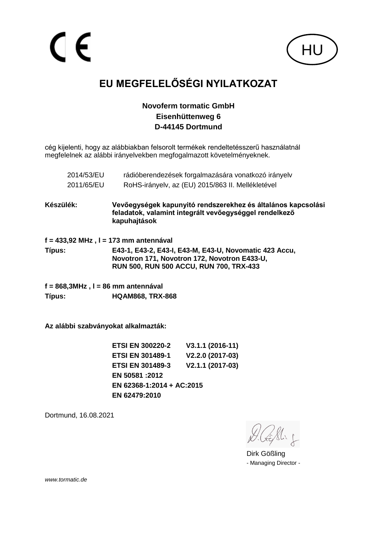

# **EU MEGFELELŐSÉGI NYILATKOZAT**

#### **Novoferm tormatic GmbH Eisenhüttenweg 6 D-44145 Dortmund**

cég kijelenti, hogy az alábbiakban felsorolt termékek rendeltetésszerű használatnál megfelelnek az alábbi irányelvekben megfogalmazott követelményeknek.

| 2014/53/EU | rádióberendezések forgalmazására vonatkozó irányelv |
|------------|-----------------------------------------------------|
| 2011/65/EU | RoHS-irányelv, az (EU) 2015/863 II. Mellékletével   |

**Készülék: Vevőegységek kapunyitó rendszerekhez és általános kapcsolási feladatok, valamint integrált vevőegységgel rendelkező kapuhajtások**

**f = 433,92 MHz , l = 173 mm antennával Típus: E43-1, E43-2, E43-I, E43-M, E43-U, Novomatic 423 Accu, Novotron 171, Novotron 172, Novotron E433-U, RUN 500, RUN 500 ACCU, RUN 700, TRX-433**

**f = 868,3MHz , l = 86 mm antennával Típus: HQAM868, TRX-868**

**Az alábbi szabványokat alkalmazták:**

**ETSI EN 300220-2 V3.1.1 (2016-11) ETSI EN 301489-1 V2.2.0 (2017-03) ETSI EN 301489-3 V2.1.1 (2017-03) EN 50581 :2012 EN 62368-1:2014 + AC:2015 EN 62479:2010**

Dortmund, 16.08.2021

Dirk Gößling - Managing Director -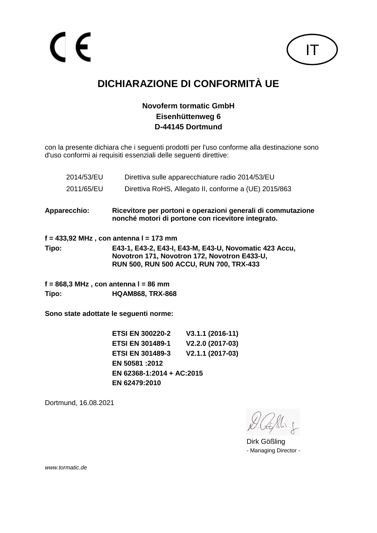

# **DICHIARAZIONE DI CONFORMITÀ UE**

#### **Novoferm tormatic GmbH Eisenhüttenweg 6 D-44145 Dortmund**

con la presente dichiara che i seguenti prodotti per l'uso conforme alla destinazione sono d'uso conformi ai requisiti essenziali delle seguenti direttive:

| 2014/53/EU          |                                         | Direttiva sulle apparecchiature radio 2014/53/EU                                                                                                         |
|---------------------|-----------------------------------------|----------------------------------------------------------------------------------------------------------------------------------------------------------|
| 2011/65/EU          |                                         | Direttiva RoHS, Allegato II, conforme a (UE) 2015/863                                                                                                    |
| <b>Apparecchio:</b> |                                         | Ricevitore per portoni e operazioni generali di commutazione<br>nonché motori di portone con ricevitore integrato.                                       |
|                     | f = 433,92 MHz , con antenna l = 173 mm |                                                                                                                                                          |
| Tipo:               |                                         | E43-1, E43-2, E43-I, E43-M, E43-U, Novomatic 423 Accu,<br>Novotron 171, Novotron 172, Novotron E433-U,<br><b>RUN 500, RUN 500 ACCU, RUN 700, TRX-433</b> |
|                     | f = 868,3 MHz , con antenna l = 86 mm   |                                                                                                                                                          |
| Tipo:               | <b>HQAM868, TRX-868</b>                 |                                                                                                                                                          |
|                     | Sono state adottate le seguenti norme:  |                                                                                                                                                          |
|                     | <b>ETSI EN 300220-2</b>                 | $V3.1.1 (2016-11)$                                                                                                                                       |
|                     | <b>ETSI EN 301489-1</b>                 | V2.2.0 (2017-03)                                                                                                                                         |
|                     | <b>ETSI EN 301489-3</b>                 | V2.1.1 (2017-03)                                                                                                                                         |

**EN 50581 :2012 EN 62368-1:2014 + AC:2015 EN 62479:2010**

Dortmund, 16.08.2021

Dirk Gößling - Managing Director -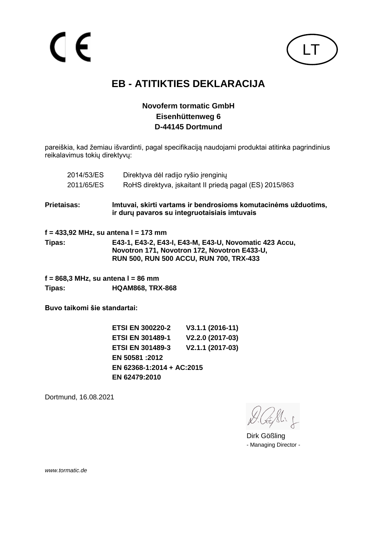

## **EB - ATITIKTIES DEKLARACIJA**

#### **Novoferm tormatic GmbH Eisenhüttenweg 6 D-44145 Dortmund**

pareiškia, kad žemiau išvardinti, pagal specifikaciją naudojami produktai atitinka pagrindinius reikalavimus tokių direktyvų:

| 2014/53/ES                         | Direktyva dėl radijo ryšio įrenginių                                                                                                              |
|------------------------------------|---------------------------------------------------------------------------------------------------------------------------------------------------|
| 2011/65/ES                         | RoHS direktyva, iskaitant II prieda pagal (ES) 2015/863                                                                                           |
| Prietaisas:                        | Imtuvai, skirti vartams ir bendrosioms komutacinėms užduotims,<br>ir dury pavaros su integruotaisiais imtuvais                                    |
|                                    | f = 433,92 MHz, su antena l = 173 mm                                                                                                              |
| Tipas:                             | E43-1, E43-2, E43-I, E43-M, E43-U, Novomatic 423 Accu,<br>Novotron 171, Novotron 172, Novotron E433-U,<br>RUN 500, RUN 500 ACCU, RUN 700, TRX-433 |
| f = 868,3 MHz, su antena l = 86 mm |                                                                                                                                                   |
| Tipas:                             | <b>HQAM868, TRX-868</b>                                                                                                                           |
| Buvo taikomi šie standartai:       |                                                                                                                                                   |
|                                    | ETRI EN 200220_2<br>$1/2$ 4 4 $/2046 - 441$                                                                                                       |

**ETSI EN 300220-2 V3.1.1 (2016-11) ETSI EN 301489-1 V2.2.0 (2017-03) ETSI EN 301489-3 V2.1.1 (2017-03) EN 50581 :2012 EN 62368-1:2014 + AC:2015 EN 62479:2010**

Dortmund, 16.08.2021

Dirk Gößling - Managing Director -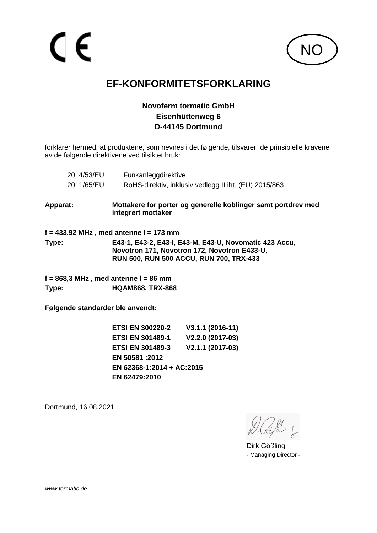

### **EF-KONFORMITETSFORKLARING**

#### **Novoferm tormatic GmbH Eisenhüttenweg 6 D-44145 Dortmund**

forklarer hermed, at produktene, som nevnes i det følgende, tilsvarer de prinsipielle kravene av de følgende direktivene ved tilsiktet bruk:

| 2014/53/EU | Funkanleggdirektive                                                                                                                                      |
|------------|----------------------------------------------------------------------------------------------------------------------------------------------------------|
| 2011/65/EU | RoHS-direktiv, inklusiv vedlegg II iht. (EU) 2015/863                                                                                                    |
| Apparat:   | Mottakere for porter og generelle koblinger samt portdrev med<br>integrert mottaker                                                                      |
|            | $f = 433,92$ MHz, med antenne I = 173 mm                                                                                                                 |
| Type:      | E43-1, E43-2, E43-I, E43-M, E43-U, Novomatic 423 Accu,<br>Novotron 171, Novotron 172, Novotron E433-U,<br><b>RUN 500, RUN 500 ACCU, RUN 700, TRX-433</b> |
|            | $f = 868.3$ MHz , med antenne I = 86 mm                                                                                                                  |
| Type:      | <b>HQAM868, TRX-868</b>                                                                                                                                  |
|            |                                                                                                                                                          |

**Følgende standarder ble anvendt:**

**ETSI EN 300220-2 V3.1.1 (2016-11) ETSI EN 301489-1 V2.2.0 (2017-03) ETSI EN 301489-3 V2.1.1 (2017-03) EN 50581 :2012 EN 62368-1:2014 + AC:2015 EN 62479:2010**

Dortmund, 16.08.2021

Dirk Gößling - Managing Director -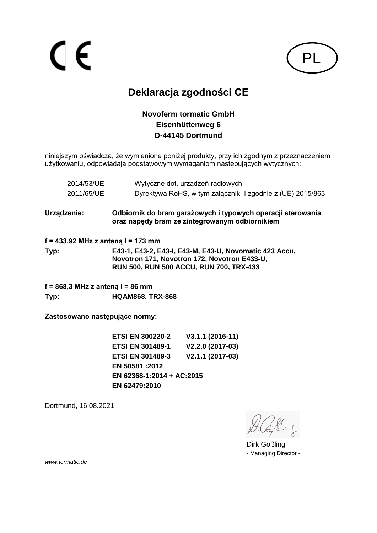

# **Deklaracja zgodności CE**

#### **Novoferm tormatic GmbH Eisenhüttenweg 6 D-44145 Dortmund**

niniejszym oświadcza, że wymienione poniżej produkty, przy ich zgodnym z przeznaczeniem użytkowaniu, odpowiadają podstawowym wymaganiom następujących wytycznych:

| 2014/53/UE | Wytyczne dot. urządzeń radiowych                           |
|------------|------------------------------------------------------------|
| 2011/65/UE | Dyrektywa RoHS, w tym załącznik II zgodnie z (UE) 2015/863 |

**Urządzenie: Odbiornik do bram garażowych i typowych operacji sterowania oraz napędy bram ze zintegrowanym odbiornikiem**

**f = 433,92 MHz z anteną l = 173 mm Typ: E43-1, E43-2, E43-I, E43-M, E43-U, Novomatic 423 Accu, Novotron 171, Novotron 172, Novotron E433-U, RUN 500, RUN 500 ACCU, RUN 700, TRX-433**

**f = 868,3 MHz z anteną l = 86 mm Typ: HQAM868, TRX-868**

**Zastosowano następujące normy:**

**ETSI EN 300220-2 V3.1.1 (2016-11) ETSI EN 301489-1 V2.2.0 (2017-03) ETSI EN 301489-3 V2.1.1 (2017-03) EN 50581 :2012 EN 62368-1:2014 + AC:2015 EN 62479:2010**

Dortmund, 16.08.2021

Dirk Gößling - Managing Director -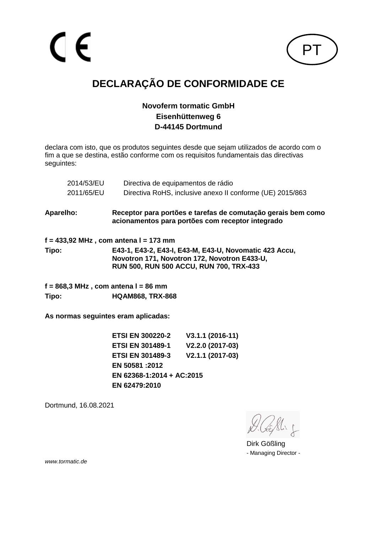

# **DECLARAÇÃO DE CONFORMIDADE CE**

#### **Novoferm tormatic GmbH Eisenhüttenweg 6 D-44145 Dortmund**

declara com isto, que os produtos seguintes desde que sejam utilizados de acordo com o fim a que se destina, estão conforme com os requisitos fundamentais das directivas seguintes:

|                                     | 2014/53/EU<br>2011/65/EU | Directiva de equipamentos de rádio<br>Directiva RoHS, inclusive anexo II conforme (UE) 2015/863                                                          |
|-------------------------------------|--------------------------|----------------------------------------------------------------------------------------------------------------------------------------------------------|
|                                     |                          |                                                                                                                                                          |
| <b>Aparelho:</b>                    |                          | Receptor para portões e tarefas de comutação gerais bem como<br>acionamentos para portões com receptor integrado                                         |
|                                     |                          | f = 433,92 MHz , com antena l = 173 mm                                                                                                                   |
| Tipo:                               |                          | E43-1, E43-2, E43-I, E43-M, E43-U, Novomatic 423 Accu,<br>Novotron 171, Novotron 172, Novotron E433-U,<br><b>RUN 500, RUN 500 ACCU, RUN 700, TRX-433</b> |
|                                     |                          | $f = 868.3$ MHz, com antena I = 86 mm                                                                                                                    |
| Tipo:                               |                          | <b>HQAM868, TRX-868</b>                                                                                                                                  |
| As normas seguintes eram aplicadas: |                          |                                                                                                                                                          |

**ETSI EN 300220-2 V3.1.1 (2016-11) ETSI EN 301489-1 V2.2.0 (2017-03) ETSI EN 301489-3 V2.1.1 (2017-03) EN 50581 :2012 EN 62368-1:2014 + AC:2015 EN 62479:2010**

Dortmund, 16.08.2021

Dirk Gößling - Managing Director -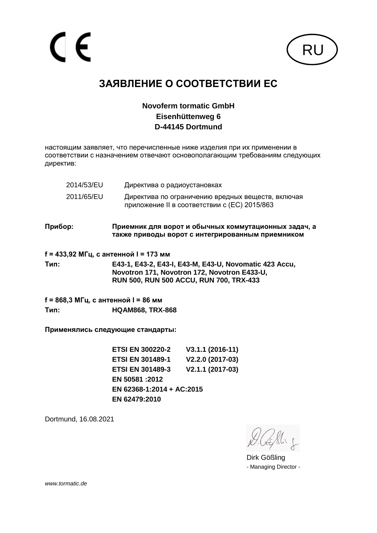

## **ЗАЯВЛЕНИЕ О СООТВЕТСТВИИ ЕС**

#### **Novoferm tormatic GmbH Eisenhüttenweg 6 D-44145 Dortmund**

настоящим заявляет, что перечисленные ниже изделия при их применении в соответствии с назначением отвечают основополагающим требованиям следующих директив:

| 2014/53/EU | Директива о радиоустановках                                                                       |
|------------|---------------------------------------------------------------------------------------------------|
| 2011/65/EU | Директива по ограничению вредных веществ, включая<br>приложение II в соответствии с (EC) 2015/863 |

**Прибор: Приемник для ворот и обычных коммутационных задач, а также приводы ворот с интегрированным приемником**

**f = 433,92 МГц, с антенной l = 173 мм**

**Тип: E43-1, E43-2, E43-I, E43-M, E43-U, Novomatic 423 Accu, Novotron 171, Novotron 172, Novotron E433-U, RUN 500, RUN 500 ACCU, RUN 700, TRX-433**

**f = 868,3 МГц, с антенной l = 86 мм Тип: HQAM868, TRX-868**

**Применялись следующие стандарты:**

**ETSI EN 300220-2 V3.1.1 (2016-11) ETSI EN 301489-1 V2.2.0 (2017-03) ETSI EN 301489-3 V2.1.1 (2017-03) EN 50581 :2012 EN 62368-1:2014 + AC:2015 EN 62479:2010**

Dortmund, 16.08.2021

Dirk Gößling - Managing Director -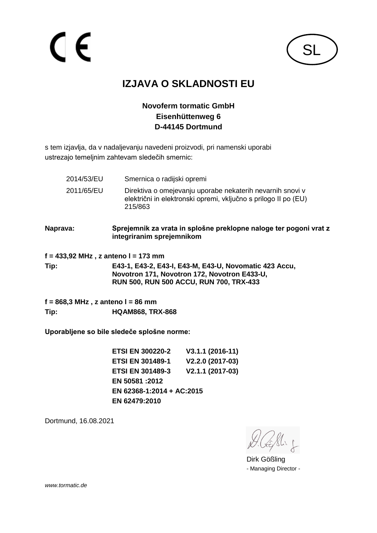

# **IZJAVA O SKLADNOSTI EU**

#### **Novoferm tormatic GmbH Eisenhüttenweg 6 D-44145 Dortmund**

s tem izjavlja, da v nadaljevanju navedeni proizvodi, pri namenski uporabi ustrezajo temeljnim zahtevam sledečih smernic:

- 2014/53/EU Smernica o radijski opremi 2011/65/EU Direktiva o omejevanju uporabe nekaterih nevarnih snovi v električni in elektronski opremi, vključno s prilogo II po (EU) 215/863
- **Naprava: Sprejemnik za vrata in splošne preklopne naloge ter pogoni vrat z integriranim sprejemnikom**

**f = 433,92 MHz , z anteno l = 173 mm**

**Tip: E43-1, E43-2, E43-I, E43-M, E43-U, Novomatic 423 Accu, Novotron 171, Novotron 172, Novotron E433-U, RUN 500, RUN 500 ACCU, RUN 700, TRX-433**

**f = 868,3 MHz , z anteno l = 86 mm Tip: HQAM868, TRX-868**

**Uporabljene so bile sledeče splošne norme:**

**ETSI EN 300220-2 V3.1.1 (2016-11) ETSI EN 301489-1 V2.2.0 (2017-03) ETSI EN 301489-3 V2.1.1 (2017-03) EN 50581 :2012 EN 62368-1:2014 + AC:2015 EN 62479:2010**

Dortmund, 16.08.2021

Dirk Gößling - Managing Director -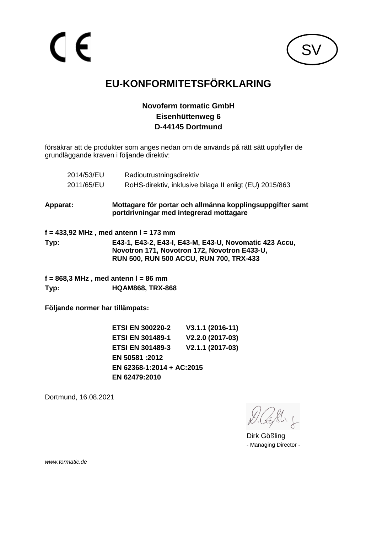

# **EU-KONFORMITETSFÖRKLARING**

#### **Novoferm tormatic GmbH Eisenhüttenweg 6 D-44145 Dortmund**

försäkrar att de produkter som anges nedan om de används på rätt sätt uppfyller de grundläggande kraven i följande direktiv:

| 2014/53/EU                                               | Radioutrustningsdirektiv                                                                                                                                 |
|----------------------------------------------------------|----------------------------------------------------------------------------------------------------------------------------------------------------------|
| 2011/65/EU                                               | RoHS-direktiv, inklusive bilaga II enligt (EU) 2015/863                                                                                                  |
| Apparat:                                                 | Mottagare för portar och allmänna kopplingsuppgifter samt<br>portdrivningar med integrerad mottagare                                                     |
|                                                          | $f = 433,92$ MHz, med antenn I = 173 mm                                                                                                                  |
| Typ:                                                     | E43-1, E43-2, E43-I, E43-M, E43-U, Novomatic 423 Accu,<br>Novotron 171, Novotron 172, Novotron E433-U,<br><b>RUN 500, RUN 500 ACCU, RUN 700, TRX-433</b> |
| $f = 868,3 \text{ MHz}$ , med antenn $l = 86 \text{ mm}$ |                                                                                                                                                          |
| Typ:                                                     | <b>HQAM868, TRX-868</b>                                                                                                                                  |
| Följande normer har tillämpats:                          |                                                                                                                                                          |

**ETSI EN 300220-2 V3.1.1 (2016-11) ETSI EN 301489-1 V2.2.0 (2017-03) ETSI EN 301489-3 V2.1.1 (2017-03) EN 50581 :2012 EN 62368-1:2014 + AC:2015 EN 62479:2010**

Dortmund, 16.08.2021

Dirk Gößling - Managing Director -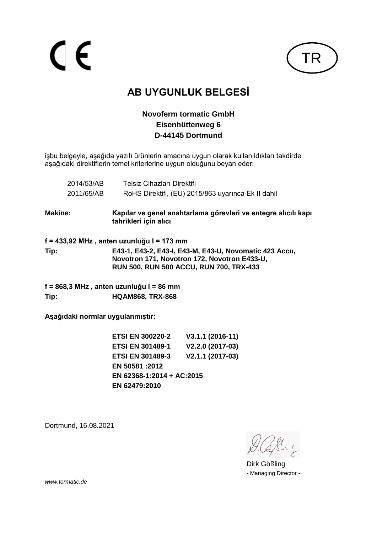CE



# **AB UYGUNLUK BELGESİ**

#### **Novoferm tormatic GmbH Eisenhüttenweg 6 D-44145 Dortmund**

işbu belgeyle, aşağıda yazılı ürünlerin amacına uygun olarak kullanıldıkları takdirde aşağıdaki direktiflerin temel kriterlerine uygun olduğunu beyan eder:

|                | 2014/53/AB | <b>Telsiz Cihazları Direktifi</b>                                                                                                                        |
|----------------|------------|----------------------------------------------------------------------------------------------------------------------------------------------------------|
|                | 2011/65/AB | RoHS Direktifi, (EU) 2015/863 uyarınca Ek II dahil                                                                                                       |
| <b>Makine:</b> |            | Kapılar ve genel anahtarlama görevleri ve entegre alıcılı kapı<br>tahrikleri için alıcı                                                                  |
|                |            | f = 433,92 MHz , anten uzunluğu l = 173 mm                                                                                                               |
| Tip:           |            | E43-1, E43-2, E43-I, E43-M, E43-U, Novomatic 423 Accu,<br>Novotron 171, Novotron 172, Novotron E433-U,<br><b>RUN 500, RUN 500 ACCU, RUN 700, TRX-433</b> |
|                |            | f = 868,3 MHz , anten uzunluğu l = 86 mm                                                                                                                 |
| Tip:           |            | <b>HQAM868, TRX-868</b>                                                                                                                                  |
|                |            |                                                                                                                                                          |

**Aşağıdaki normlar uygulanmıştır:**

**ETSI EN 300220-2 V3.1.1 (2016-11) ETSI EN 301489-1 V2.2.0 (2017-03) ETSI EN 301489-3 V2.1.1 (2017-03) EN 50581 :2012 EN 62368-1:2014 + AC:2015 EN 62479:2010**

Dortmund, 16.08.2021

Dirk Gößling - Managing Director -